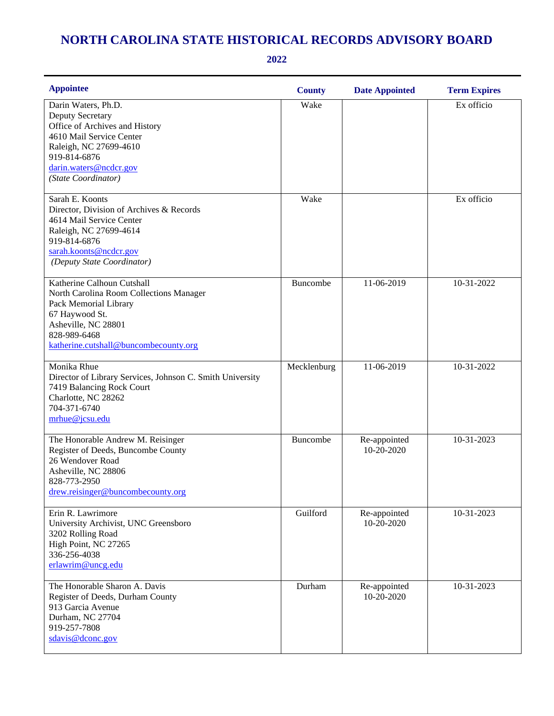## **NORTH CAROLINA STATE HISTORICAL RECORDS ADVISORY BOARD**

**2022**

| <b>Appointee</b>                                                                                                                                                                                 | <b>County</b> | <b>Date Appointed</b>      | <b>Term Expires</b>     |
|--------------------------------------------------------------------------------------------------------------------------------------------------------------------------------------------------|---------------|----------------------------|-------------------------|
| Darin Waters, Ph.D.<br>Deputy Secretary<br>Office of Archives and History<br>4610 Mail Service Center<br>Raleigh, NC 27699-4610<br>919-814-6876<br>darin.waters@ncdcr.gov<br>(State Coordinator) | Wake          |                            | $\overline{Ex}$ officio |
| Sarah E. Koonts<br>Director, Division of Archives & Records<br>4614 Mail Service Center<br>Raleigh, NC 27699-4614<br>919-814-6876<br>sarah.koonts@ncdcr.gov<br>(Deputy State Coordinator)        | Wake          |                            | Ex officio              |
| Katherine Calhoun Cutshall<br>North Carolina Room Collections Manager<br>Pack Memorial Library<br>67 Haywood St.<br>Asheville, NC 28801<br>828-989-6468<br>katherine.cutshall@buncombecounty.org | Buncombe      | 11-06-2019                 | 10-31-2022              |
| Monika Rhue<br>Director of Library Services, Johnson C. Smith University<br>7419 Balancing Rock Court<br>Charlotte, NC 28262<br>704-371-6740<br>mrhue@jcsu.edu                                   | Mecklenburg   | 11-06-2019                 | 10-31-2022              |
| The Honorable Andrew M. Reisinger<br>Register of Deeds, Buncombe County<br>26 Wendover Road<br>Asheville, NC 28806<br>828-773-2950<br>drew.reisinger@buncombecounty.org                          | Buncombe      | Re-appointed<br>10-20-2020 | 10-31-2023              |
| Erin R. Lawrimore<br>University Archivist, UNC Greensboro<br>3202 Rolling Road<br>High Point, NC 27265<br>336-256-4038<br>erlawrim@uncg.edu                                                      | Guilford      | Re-appointed<br>10-20-2020 | 10-31-2023              |
| The Honorable Sharon A. Davis<br>Register of Deeds, Durham County<br>913 Garcia Avenue<br>Durham, NC 27704<br>919-257-7808<br>sdavis@dconc.gov                                                   | Durham        | Re-appointed<br>10-20-2020 | 10-31-2023              |